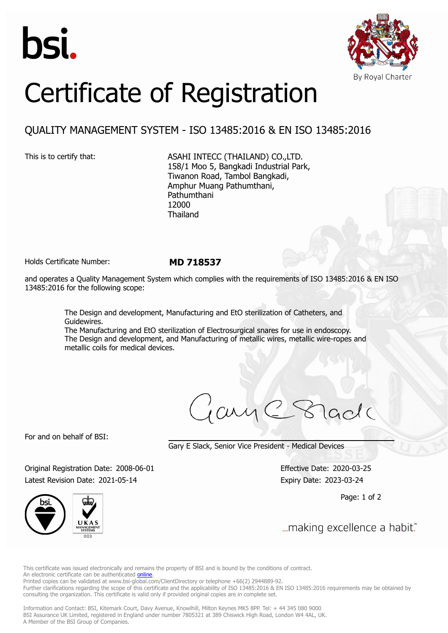



## Certificate of Registration

## QUALITY MANAGEMENT SYSTEM - ISO 13485:2016 & EN ISO 13485:2016

This is to certify that: ASAHI INTECC (THAILAND) CO., LTD. 158/1 Moo 5, Bangkadi Industrial Park, Tiwanon Road, Tambol Bangkadi, Amphur Muang Pathumthani, Pathumthani 12000 Thailand

Holds Certificate Number: **MD 718537**

and operates a Quality Management System which complies with the requirements of ISO 13485:2016 & EN ISO 13485:2016 for the following scope:

> The Design and development, Manufacturing and EtO sterilization of Catheters, and Guidewires.

The Manufacturing and EtO sterilization of Electrosurgical snares for use in endoscopy. The Design and development, and Manufacturing of metallic wires, metallic wire-ropes and metallic coils for medical devices.

 $cm_1C_8$ 

For and on behalf of BSI:

Gary E Slack, Senior Vice President - Medical Devices

Original Registration Date: 2008-06-01 Effective Date: 2020-03-25 Latest Revision Date: 2021-05-14 Expiry Date: 2023-03-24

Page: 1 of 2



... making excellence a habit."

This certificate was issued electronically and remains the property of BSI and is bound by the conditions of contract. An electronic certificate can be authenticated **[online](https://pgplus.bsigroup.com/CertificateValidation/CertificateValidator.aspx?CertificateNumber=MD+718537&ReIssueDate=14%2f05%2f2021&Template=thailand_en)** 

Printed copies can be validated at www.bsi-global.com/ClientDirectory or telephone +66(2) 2944889-92.

Further clarifications regarding the scope of this certificate and the applicability of ISO 13485:2016 & EN ISO 13485:2016 requirements may be obtained by consulting the organization. This certificate is valid only if provided original copies are in complete set.

Information and Contact: BSI, Kitemark Court, Davy Avenue, Knowlhill, Milton Keynes MK5 8PP. Tel: + 44 345 080 9000 BSI Assurance UK Limited, registered in England under number 7805321 at 389 Chiswick High Road, London W4 4AL, UK. A Member of the BSI Group of Companies.